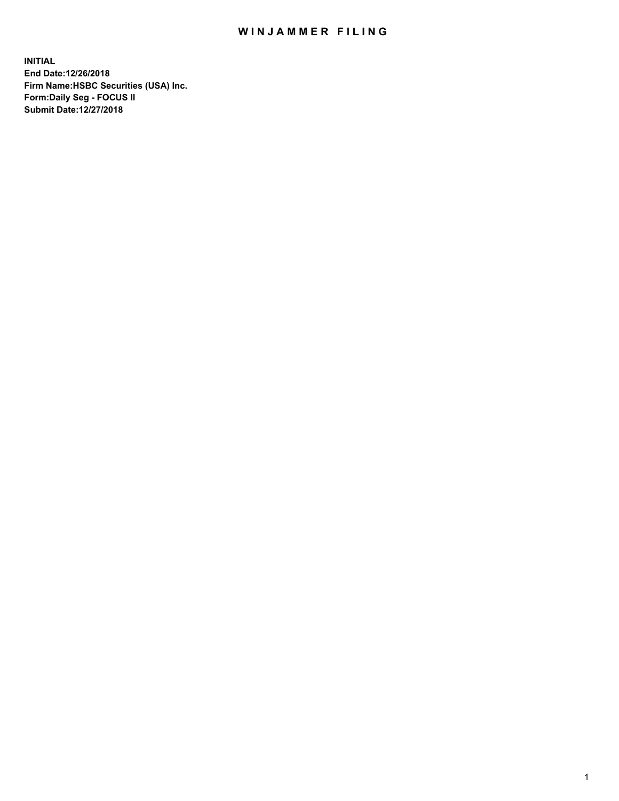## WIN JAMMER FILING

**INITIAL End Date:12/26/2018 Firm Name:HSBC Securities (USA) Inc. Form:Daily Seg - FOCUS II Submit Date:12/27/2018**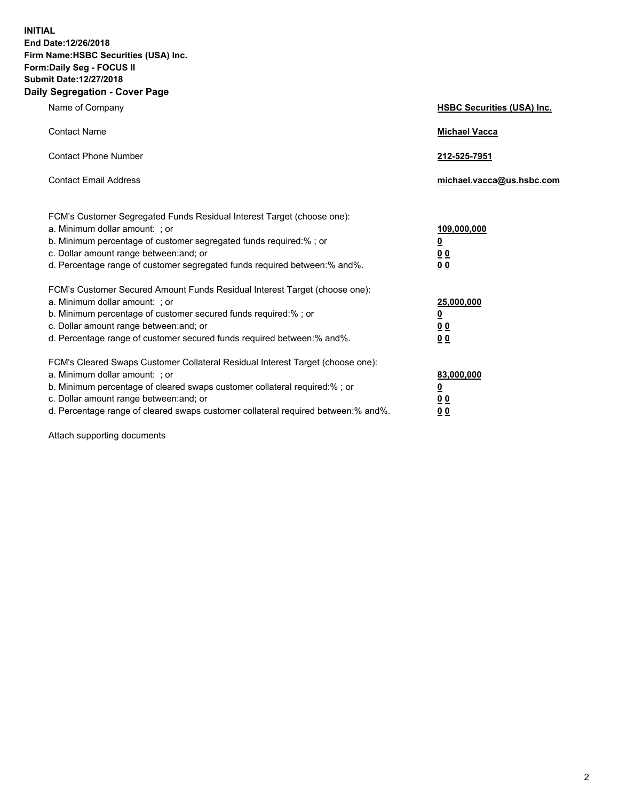**INITIAL End Date:12/26/2018 Firm Name:HSBC Securities (USA) Inc. Form:Daily Seg - FOCUS II Submit Date:12/27/2018 Daily Segregation - Cover Page**

| Name of Company                                                                                                                                                                                                                                                                                                                | <b>HSBC Securities (USA) Inc.</b>                               |
|--------------------------------------------------------------------------------------------------------------------------------------------------------------------------------------------------------------------------------------------------------------------------------------------------------------------------------|-----------------------------------------------------------------|
| <b>Contact Name</b>                                                                                                                                                                                                                                                                                                            | <b>Michael Vacca</b>                                            |
| <b>Contact Phone Number</b>                                                                                                                                                                                                                                                                                                    | 212-525-7951                                                    |
| <b>Contact Email Address</b>                                                                                                                                                                                                                                                                                                   | michael.vacca@us.hsbc.com                                       |
| FCM's Customer Segregated Funds Residual Interest Target (choose one):<br>a. Minimum dollar amount: ; or<br>b. Minimum percentage of customer segregated funds required:%; or<br>c. Dollar amount range between: and; or<br>d. Percentage range of customer segregated funds required between:% and%.                          | 109,000,000<br>$\underline{\mathbf{0}}$<br>0 <sub>0</sub><br>00 |
| FCM's Customer Secured Amount Funds Residual Interest Target (choose one):<br>a. Minimum dollar amount: ; or<br>b. Minimum percentage of customer secured funds required:% ; or<br>c. Dollar amount range between: and; or<br>d. Percentage range of customer secured funds required between:% and%.                           | 25,000,000<br><u>0</u><br>0 <sub>0</sub><br>0 <sub>0</sub>      |
| FCM's Cleared Swaps Customer Collateral Residual Interest Target (choose one):<br>a. Minimum dollar amount: ; or<br>b. Minimum percentage of cleared swaps customer collateral required:% ; or<br>c. Dollar amount range between: and; or<br>d. Percentage range of cleared swaps customer collateral required between:% and%. | 83,000,000<br><u>0</u><br><u>00</u><br>00                       |

Attach supporting documents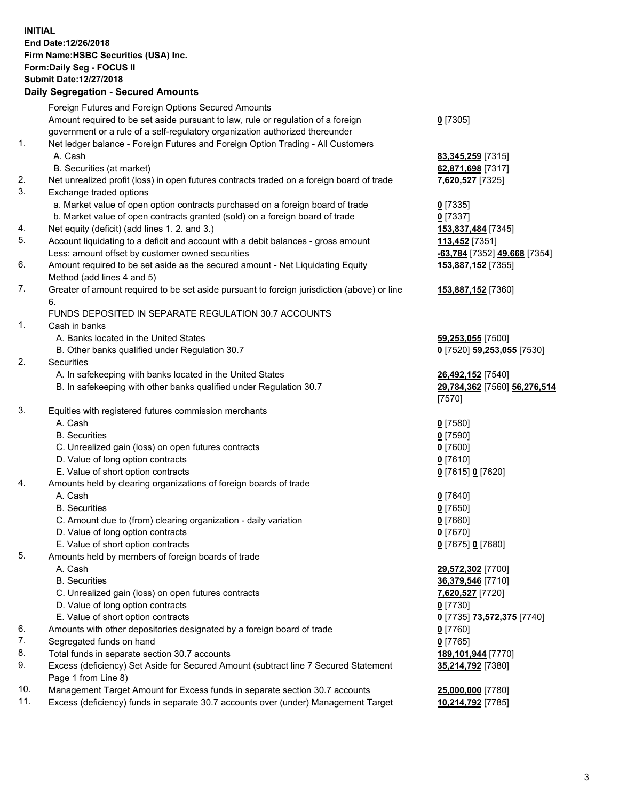**INITIAL End Date:12/26/2018 Firm Name:HSBC Securities (USA) Inc. Form:Daily Seg - FOCUS II Submit Date:12/27/2018 Daily Segregation - Secured Amounts**

|     | Foreign Futures and Foreign Options Secured Amounts                                                |                                         |
|-----|----------------------------------------------------------------------------------------------------|-----------------------------------------|
|     | Amount required to be set aside pursuant to law, rule or regulation of a foreign                   | $0$ [7305]                              |
|     | government or a rule of a self-regulatory organization authorized thereunder                       |                                         |
| 1.  | Net ledger balance - Foreign Futures and Foreign Option Trading - All Customers                    |                                         |
|     | A. Cash                                                                                            | 83,345,259 [7315]                       |
|     | B. Securities (at market)                                                                          | 62,871,698 [7317]                       |
| 2.  | Net unrealized profit (loss) in open futures contracts traded on a foreign board of trade          | 7,620,527 [7325]                        |
| 3.  | Exchange traded options                                                                            |                                         |
|     | a. Market value of open option contracts purchased on a foreign board of trade                     | $0$ [7335]                              |
|     | b. Market value of open contracts granted (sold) on a foreign board of trade                       | $0$ [7337]                              |
| 4.  | Net equity (deficit) (add lines 1. 2. and 3.)                                                      | 153,837,484 [7345]                      |
| 5.  | Account liquidating to a deficit and account with a debit balances - gross amount                  | 113,452 [7351]                          |
|     | Less: amount offset by customer owned securities                                                   | -63,784 [7352] 49,668 [7354]            |
| 6.  | Amount required to be set aside as the secured amount - Net Liquidating Equity                     | 153,887,152 [7355]                      |
|     | Method (add lines 4 and 5)                                                                         |                                         |
| 7.  | Greater of amount required to be set aside pursuant to foreign jurisdiction (above) or line        | 153,887,152 [7360]                      |
|     | 6.                                                                                                 |                                         |
|     | FUNDS DEPOSITED IN SEPARATE REGULATION 30.7 ACCOUNTS                                               |                                         |
| 1.  | Cash in banks                                                                                      |                                         |
|     | A. Banks located in the United States                                                              | 59,253,055 [7500]                       |
|     | B. Other banks qualified under Regulation 30.7                                                     | 0 [7520] 59,253,055 [7530]              |
| 2.  | Securities                                                                                         |                                         |
|     | A. In safekeeping with banks located in the United States                                          | 26,492,152 [7540]                       |
|     | B. In safekeeping with other banks qualified under Regulation 30.7                                 | 29,784,362 [7560] 56,276,514            |
|     |                                                                                                    | [7570]                                  |
| 3.  | Equities with registered futures commission merchants                                              |                                         |
|     | A. Cash                                                                                            | $0$ [7580]                              |
|     | <b>B.</b> Securities                                                                               | $0$ [7590]                              |
|     | C. Unrealized gain (loss) on open futures contracts                                                | $0$ [7600]                              |
|     | D. Value of long option contracts                                                                  | $0$ [7610]                              |
|     | E. Value of short option contracts                                                                 | 0 [7615] 0 [7620]                       |
| 4.  | Amounts held by clearing organizations of foreign boards of trade                                  |                                         |
|     | A. Cash                                                                                            | $0$ [7640]                              |
|     | <b>B.</b> Securities                                                                               | $0$ [7650]                              |
|     | C. Amount due to (from) clearing organization - daily variation                                    | $0$ [7660]                              |
|     | D. Value of long option contracts                                                                  | $0$ [7670]                              |
| 5.  | E. Value of short option contracts                                                                 | 0 [7675] 0 [7680]                       |
|     | Amounts held by members of foreign boards of trade                                                 |                                         |
|     | A. Cash                                                                                            | 29,572,302 [7700]                       |
|     | <b>B.</b> Securities                                                                               | 36,379,546 [7710]                       |
|     | C. Unrealized gain (loss) on open futures contracts<br>D. Value of long option contracts           | 7,620,527 [7720]<br>$0$ [7730]          |
|     | E. Value of short option contracts                                                                 |                                         |
| 6.  |                                                                                                    | 0 [7735] 73,572,375 [7740]              |
| 7.  | Amounts with other depositories designated by a foreign board of trade<br>Segregated funds on hand | $0$ [7760]                              |
| 8.  | Total funds in separate section 30.7 accounts                                                      | $0$ [7765]                              |
| 9.  | Excess (deficiency) Set Aside for Secured Amount (subtract line 7 Secured Statement                | 189,101,944 [7770]<br>35,214,792 [7380] |
|     | Page 1 from Line 8)                                                                                |                                         |
| 10. | Management Target Amount for Excess funds in separate section 30.7 accounts                        | 25,000,000 [7780]                       |
| 11. | Excess (deficiency) funds in separate 30.7 accounts over (under) Management Target                 | 10,214,792 [7785]                       |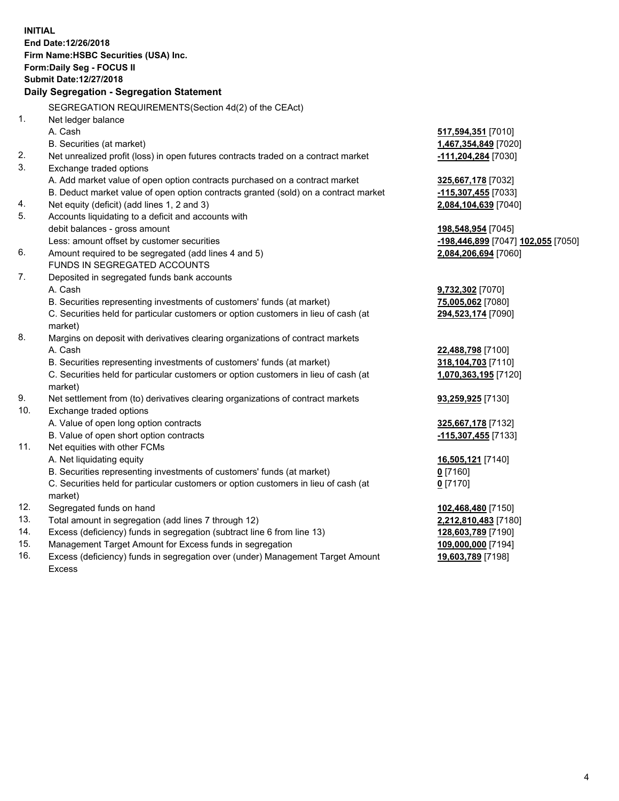**INITIAL End Date:12/26/2018 Firm Name:HSBC Securities (USA) Inc. Form:Daily Seg - FOCUS II Submit Date:12/27/2018 Daily Segregation - Segregation Statement** SEGREGATION REQUIREMENTS(Section 4d(2) of the CEAct) 1. Net ledger balance A. Cash **517,594,351** [7010] B. Securities (at market) **1,467,354,849** [7020] 2. Net unrealized profit (loss) in open futures contracts traded on a contract market **-111,204,284** [7030] 3. Exchange traded options A. Add market value of open option contracts purchased on a contract market **325,667,178** [7032] B. Deduct market value of open option contracts granted (sold) on a contract market **-115,307,455** [7033] 4. Net equity (deficit) (add lines 1, 2 and 3) **2,084,104,639** [7040] 5. Accounts liquidating to a deficit and accounts with debit balances - gross amount **198,548,954** [7045] Less: amount offset by customer securities **-198,446,899** [7047] **102,055** [7050] 6. Amount required to be segregated (add lines 4 and 5) **2,084,206,694** [7060] FUNDS IN SEGREGATED ACCOUNTS 7. Deposited in segregated funds bank accounts A. Cash **9,732,302** [7070] B. Securities representing investments of customers' funds (at market) **75,005,062** [7080] C. Securities held for particular customers or option customers in lieu of cash (at market) **294,523,174** [7090] 8. Margins on deposit with derivatives clearing organizations of contract markets A. Cash **22,488,798** [7100] B. Securities representing investments of customers' funds (at market) **318,104,703** [7110] C. Securities held for particular customers or option customers in lieu of cash (at market) **1,070,363,195** [7120] 9. Net settlement from (to) derivatives clearing organizations of contract markets **93,259,925** [7130] 10. Exchange traded options A. Value of open long option contracts **325,667,178** [7132] B. Value of open short option contracts **-115,307,455** [7133] 11. Net equities with other FCMs A. Net liquidating equity **16,505,121** [7140] B. Securities representing investments of customers' funds (at market) **0** [7160] C. Securities held for particular customers or option customers in lieu of cash (at market) **0** [7170] 12. Segregated funds on hand **102,468,480** [7150] 13. Total amount in segregation (add lines 7 through 12) **2,212,810,483** [7180] 14. Excess (deficiency) funds in segregation (subtract line 6 from line 13) **128,603,789** [7190] 15. Management Target Amount for Excess funds in segregation **109,000,000** [7194] 16. Excess (deficiency) funds in segregation over (under) Management Target Amount **19,603,789** [7198]

Excess